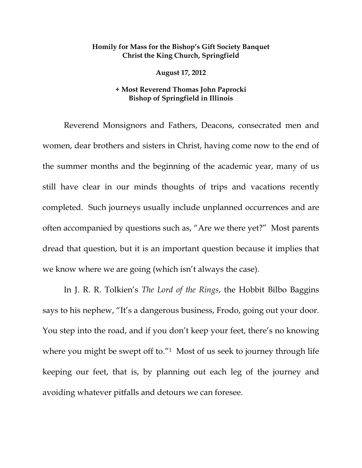## **Homily for Mass for the Bishop's Gift Society Banquet Christ the King Church, Springfield**

 **August 17, 2012** 

## **+ Most Reverend Thomas John Paprocki Bishop of Springfield in Illinois**

Reverend Monsignors and Fathers, Deacons, consecrated men and women, dear brothers and sisters in Christ, having come now to the end of the summer months and the beginning of the academic year, many of us still have clear in our minds thoughts of trips and vacations recently completed. Such journeys usually include unplanned occurrences and are often accompanied by questions such as, "Are we there yet?" Most parents dread that question, but it is an important question because it implies that we know where we are going (which isn't always the case).

In J. R. R. Tolkien's *The Lord of the Rings*, the Hobbit Bilbo Baggins says to his nephew, "It's a dangerous business, Frodo, going out your door. You step into the road, and if you don't keep your feet, there's no knowing where you might be swept off to."<sup>1</sup> Most of us seek to journey through life keeping our feet, that is, by planning out each leg of the journey and avoiding whatever pitfalls and detours we can foresee.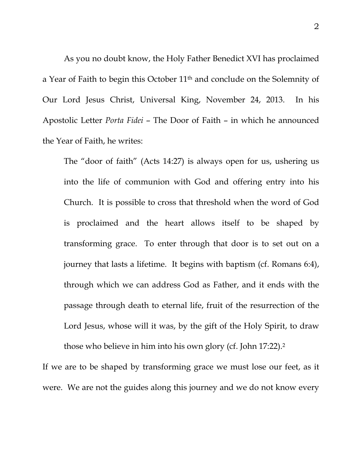As you no doubt know, the Holy Father Benedict XVI has proclaimed a Year of Faith to begin this October 11th and conclude on the Solemnity of Our Lord Jesus Christ, Universal King, November 24, 2013. In his Apostolic Letter *Porta Fidei* – The Door of Faith – in which he announced the Year of Faith, he writes:

The "door of faith" (Acts 14:27) is always open for us, ushering us into the life of communion with God and offering entry into his Church. It is possible to cross that threshold when the word of God is proclaimed and the heart allows itself to be shaped by transforming grace. To enter through that door is to set out on a journey that lasts a lifetime. It begins with baptism (cf. Romans 6:4), through which we can address God as Father, and it ends with the passage through death to eternal life, fruit of the resurrection of the Lord Jesus, whose will it was, by the gift of the Holy Spirit, to draw those who believe in him into his own glory (cf. John 17:22).2

If we are to be shaped by transforming grace we must lose our feet, as it were. We are not the guides along this journey and we do not know every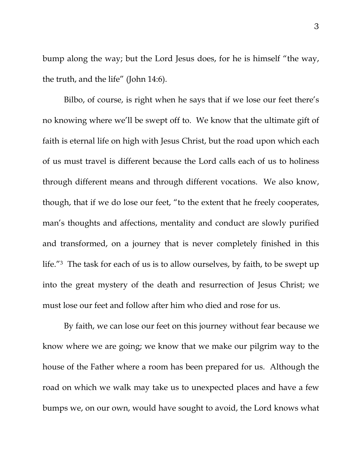bump along the way; but the Lord Jesus does, for he is himself "the way, the truth, and the life" (John 14:6).

 Bilbo, of course, is right when he says that if we lose our feet there's no knowing where we'll be swept off to. We know that the ultimate gift of faith is eternal life on high with Jesus Christ, but the road upon which each of us must travel is different because the Lord calls each of us to holiness through different means and through different vocations. We also know, though, that if we do lose our feet, "to the extent that he freely cooperates, man's thoughts and affections, mentality and conduct are slowly purified and transformed, on a journey that is never completely finished in this life."3 The task for each of us is to allow ourselves, by faith, to be swept up into the great mystery of the death and resurrection of Jesus Christ; we must lose our feet and follow after him who died and rose for us.

 By faith, we can lose our feet on this journey without fear because we know where we are going; we know that we make our pilgrim way to the house of the Father where a room has been prepared for us. Although the road on which we walk may take us to unexpected places and have a few bumps we, on our own, would have sought to avoid, the Lord knows what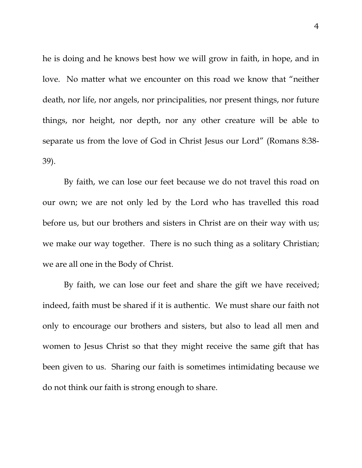he is doing and he knows best how we will grow in faith, in hope, and in love. No matter what we encounter on this road we know that "neither death, nor life, nor angels, nor principalities, nor present things, nor future things, nor height, nor depth, nor any other creature will be able to separate us from the love of God in Christ Jesus our Lord" (Romans 8:38- 39).

 By faith, we can lose our feet because we do not travel this road on our own; we are not only led by the Lord who has travelled this road before us, but our brothers and sisters in Christ are on their way with us; we make our way together. There is no such thing as a solitary Christian; we are all one in the Body of Christ.

 By faith, we can lose our feet and share the gift we have received; indeed, faith must be shared if it is authentic. We must share our faith not only to encourage our brothers and sisters, but also to lead all men and women to Jesus Christ so that they might receive the same gift that has been given to us. Sharing our faith is sometimes intimidating because we do not think our faith is strong enough to share.